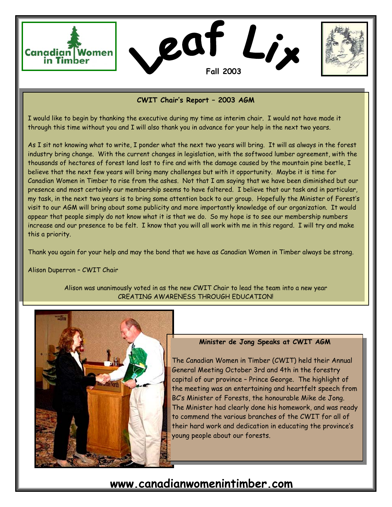



### **CWIT Chair's Report – 2003 AGM**

I would like to begin by thanking the executive during my time as interim chair. I would not have made it through this time without you and I will also thank you in advance for your help in the next two years.

As I sit not knowing what to write, I ponder what the next two years will bring. It will as always in the forest industry bring change. With the current changes in legislation, with the softwood lumber agreement, with the thousands of hectares of forest land lost to fire and with the damage caused by the mountain pine beetle, I believe that the next few years will bring many challenges but with it opportunity. Maybe it is time for Canadian Women in Timber to rise from the ashes. Not that I am saying that we have been diminished but our presence and most certainly our membership seems to have faltered. I believe that our task and in particular, my task, in the next two years is to bring some attention back to our group. Hopefully the Minister of Forest's visit to our AGM will bring about some publicity and more importantly knowledge of our organization. It would appear that people simply do not know what it is that we do. So my hope is to see our membership numbers increase and our presence to be felt. I know that you will all work with me in this regard. I will try and make this a priority.

Thank you again for your help and may the bond that we have as Canadian Women in Timber always be strong.

Alison Duperron – CWIT Chair

Alison was unanimously voted in as the new CWIT Chair to lead the team into a new year CREATING AWARENESS THROUGH EDUCATION!



#### **Minister de Jong Speaks at CWIT AGM**

The Canadian Women in Timber (CWIT) held their Annual General Meeting October 3rd and 4th in the forestry capital of our province – Prince George. The highlight of the meeting was an entertaining and heartfelt speech from BC's Minister of Forests, the honourable Mike de Jong. The Minister had clearly done his homework, and was ready to commend the various branches of the CWIT for all of their hard work and dedication in educating the province's young people about our forests.

# **www.canadianwomenintimber.com**